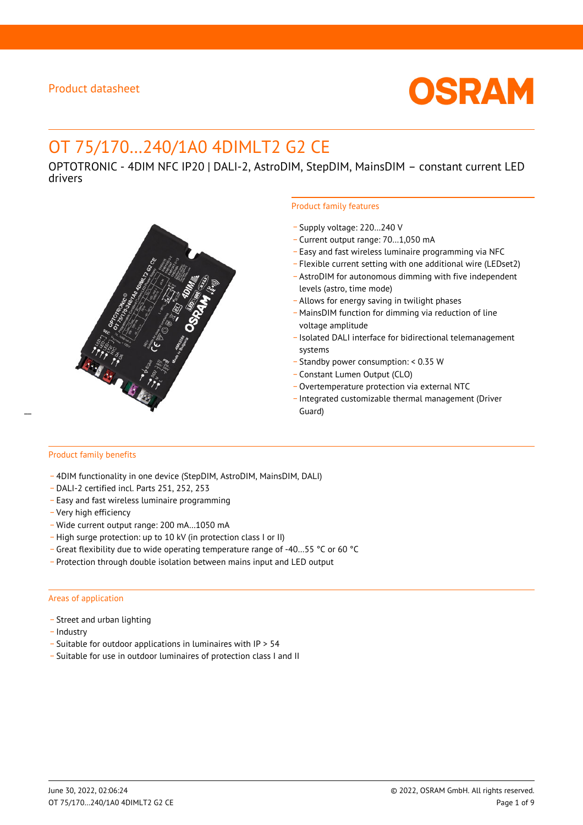

# OT 75/170…240/1A0 4DIMLT2 G2 CE

OPTOTRONIC - 4DIM NFC IP20 | DALI-2, AstroDIM, StepDIM, MainsDIM – constant current LED drivers



### Product family features

- \_ Supply voltage: 220…240 V
- \_ Current output range: 70…1,050 mA
- \_ Easy and fast wireless luminaire programming via NFC
- \_ Flexible current setting with one additional wire (LEDset2)
- \_ AstroDIM for autonomous dimming with five independent levels (astro, time mode)
- \_ Allows for energy saving in twilight phases
- \_ MainsDIM function for dimming via reduction of line voltage amplitude
- \_ Isolated DALI interface for bidirectional telemanagement systems
- \_ Standby power consumption: < 0.35 W
- \_ Constant Lumen Output (CLO)
- \_ Overtemperature protection via external NTC
- \_ Integrated customizable thermal management (Driver

#### Product family benefits

- \_ 4DIM functionality in one device (StepDIM, AstroDIM, MainsDIM, DALI)
- \_ DALI-2 certified incl. Parts 251, 252, 253
- \_ Easy and fast wireless luminaire programming
- \_ Very high efficiency
- \_ Wide current output range: 200 mA…1050 mA
- \_ High surge protection: up to 10 kV (in protection class I or II)
- \_ Great flexibility due to wide operating temperature range of -40…55 °C or 60 °C
- \_ Protection through double isolation between mains input and LED output

#### Areas of application

- Street and urban lighting
- Industry
- \_ Suitable for outdoor applications in luminaires with IP > 54
- \_ Suitable for use in outdoor luminaires of protection class I and II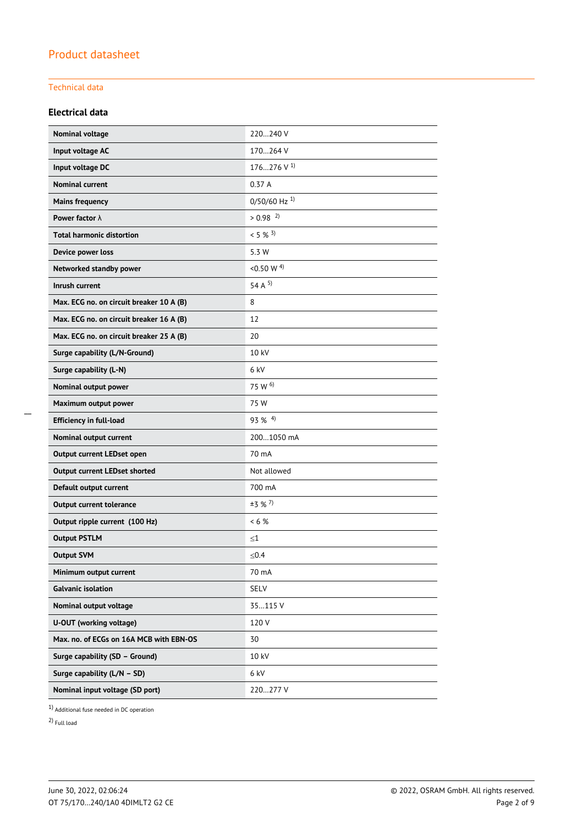### Technical data

### **Electrical data**

| Nominal voltage                          | 220240 V                   |
|------------------------------------------|----------------------------|
| Input voltage AC                         | 170264 V                   |
| Input voltage DC                         | 176276 V $^{1}$            |
| <b>Nominal current</b>                   | 0.37A                      |
| <b>Mains frequency</b>                   | $0/50/60$ Hz <sup>1)</sup> |
| Power factor $\lambda$                   | $> 0.98$ <sup>2)</sup>     |
| <b>Total harmonic distortion</b>         | $< 5 \%$ <sup>3)</sup>     |
| Device power loss                        | 5.3 W                      |
| Networked standby power                  | <0.50 W $^{4)}$            |
| Inrush current                           | 54 A $5$                   |
| Max. ECG no. on circuit breaker 10 A (B) | 8                          |
| Max. ECG no. on circuit breaker 16 A (B) | 12                         |
| Max. ECG no. on circuit breaker 25 A (B) | 20                         |
| Surge capability (L/N-Ground)            | 10 kV                      |
| Surge capability (L-N)                   | 6 kV                       |
| Nominal output power                     | 75 W 6)                    |
| Maximum output power                     | 75 W                       |
| <b>Efficiency in full-load</b>           | $93\%$ <sup>4)</sup>       |
| Nominal output current                   | 2001050 mA                 |
| Output current LEDset open               | 70 mA                      |
| <b>Output current LEDset shorted</b>     | Not allowed                |
| Default output current                   | 700 mA                     |
| <b>Output current tolerance</b>          | $±3$ % <sup>7</sup> )      |
| Output ripple current (100 Hz)           | $< 6$ %                    |
| <b>Output PSTLM</b>                      | $\leq1$                    |
| <b>Output SVM</b>                        | ≤ $0.4$                    |
| Minimum output current                   | 70 mA                      |
| <b>Galvanic isolation</b>                | SELV                       |
| Nominal output voltage                   | 35115 V                    |
| U-OUT (working voltage)                  | 120V                       |
| Max. no. of ECGs on 16A MCB with EBN-OS  | 30                         |
| Surge capability (SD - Ground)           | 10 kV                      |
| Surge capability (L/N - SD)              | 6 kV                       |
| Nominal input voltage (SD port)          | 220277 V                   |

1) Additional fuse needed in DC operation

2) Full load

\_\_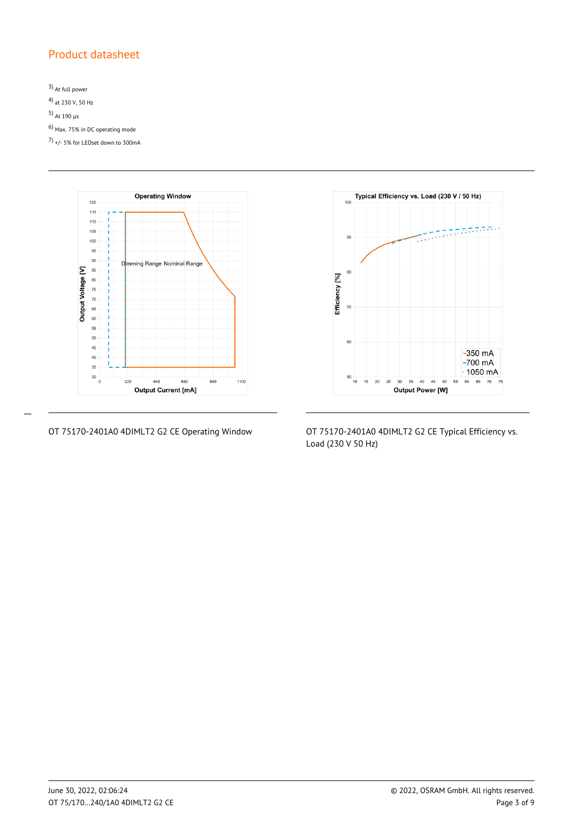3) At full power 4) at 230 V, 50 Hz 5) At 190 µs 6) Max. 75% in DC operating mode 7) +/- 5% for LEDset down to 300mA



 $\overline{a}$ 



OT 75170-2401A0 4DIMLT2 G2 CE Operating Window OT 75170-2401A0 4DIMLT2 G2 CE Typical Efficiency vs. Load (230 V 50 Hz)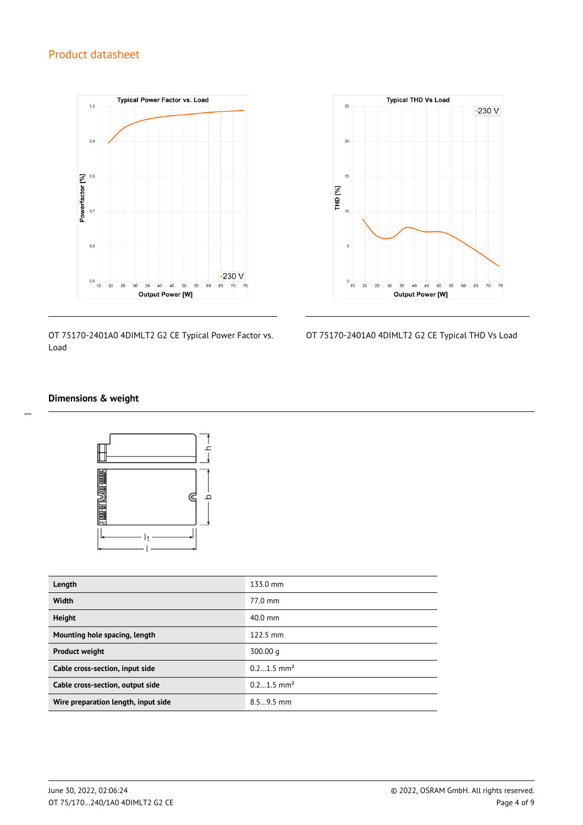

OT 75170-2401A0 4DIMLT2 G2 CE Typical Power Factor vs. Load



OT 75170-2401A0 4DIMLT2 G2 CE Typical THD Vs Load

### **Dimensions & weight**

 $\overline{a}$ 



| Length                              | 133.0 mm                 |
|-------------------------------------|--------------------------|
| Width                               | 77.0 mm                  |
| <b>Height</b>                       | $40.0$ mm                |
| Mounting hole spacing, length       | $122.5 \text{ mm}$       |
| <b>Product weight</b>               | 300.00 g                 |
| Cable cross-section, input side     | $0.21.5$ mm <sup>2</sup> |
| Cable cross-section, output side    | $0.21.5$ mm <sup>2</sup> |
| Wire preparation length, input side | $8.59.5$ mm              |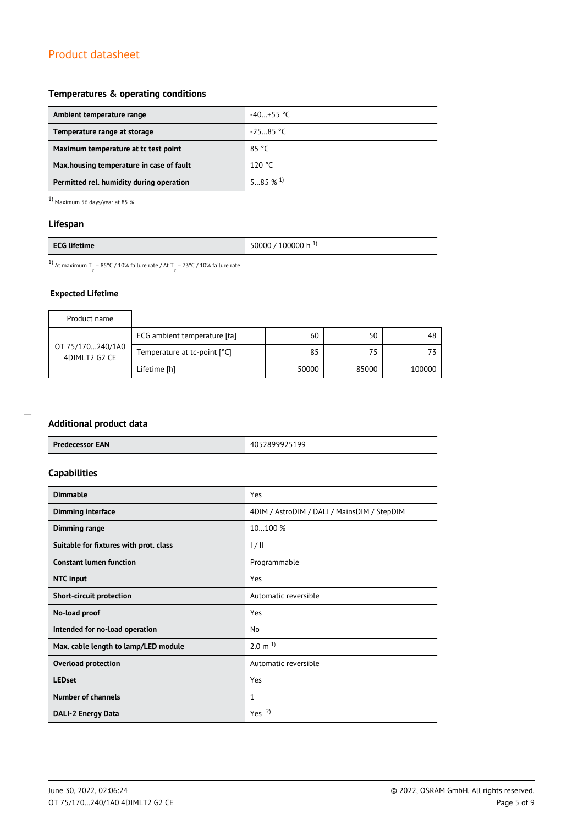### **Temperatures & operating conditions**

| Ambient temperature range                 | $-40+55$ °C |
|-------------------------------------------|-------------|
| Temperature range at storage              | $-25.85 °C$ |
| Maximum temperature at to test point      | 85 °C       |
| Max, housing temperature in case of fault | 120 °C      |
| Permitted rel. humidity during operation  | 585%1       |

 $1)$  Maximum 56 days/year at 85  $\%$ 

### **Lifespan**

|--|

<sup>1)</sup> At maximum T = 85°C / 10% failure rate / At T = 73°C / 10% failure rate

### **Expected Lifetime**

| Product name                      |                              |       |       |        |
|-----------------------------------|------------------------------|-------|-------|--------|
| OT 75/170240/1A0<br>4DIMLT2 G2 CE | ECG ambient temperature [ta] | 60    | 50    | 48     |
|                                   | Temperature at tc-point [°C] | 85    | 75    |        |
|                                   | Lifetime [h]                 | 50000 | 85000 | 100000 |

#### **Additional product data**

| Additional product data                |                                             |
|----------------------------------------|---------------------------------------------|
| <b>Predecessor EAN</b>                 | 4052899925199                               |
| <b>Capabilities</b>                    |                                             |
| <b>Dimmable</b>                        | Yes                                         |
| <b>Dimming interface</b>               | 4DIM / AstroDIM / DALI / MainsDIM / StepDIM |
| <b>Dimming range</b>                   | 10100 %                                     |
| Suitable for fixtures with prot. class | 1/11                                        |
| <b>Constant lumen function</b>         | Programmable                                |
| <b>NTC</b> input                       | Yes                                         |
| <b>Short-circuit protection</b>        | Automatic reversible                        |
| No-load proof                          | Yes                                         |
| Intended for no-load operation         | <b>No</b>                                   |
| Max. cable length to lamp/LED module   | $2.0 \text{ m}^{1}$                         |
| <b>Overload protection</b>             | Automatic reversible                        |
| <b>LEDset</b>                          | Yes                                         |
| <b>Number of channels</b>              | $\mathbf{1}$                                |
| DALI-2 Energy Data                     | Yes <sup>2</sup>                            |
|                                        |                                             |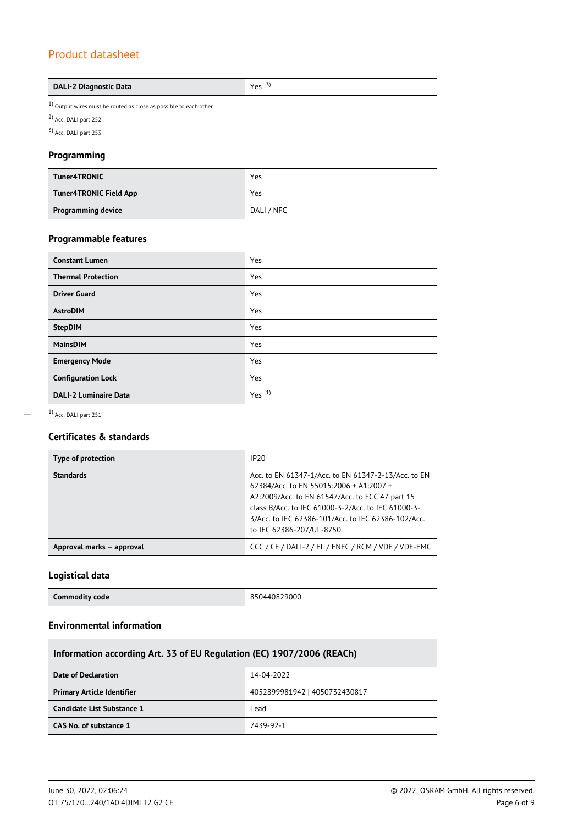| <b>DALI-2 Diagnostic Data</b> | Yes $3)$ |
|-------------------------------|----------|
|-------------------------------|----------|

 $1)$  Output wires must be routed as close as possible to each other

2) Acc. DALI part 252

3) Acc. DALI part 253

### **Programming**

| <b>Tuner4TRONIC</b>           | Yes        |
|-------------------------------|------------|
| <b>Tuner4TRONIC Field App</b> | Yes        |
| <b>Programming device</b>     | DALI / NFC |

### **Programmable features**

| <b>Constant Lumen</b>        | Yes              |
|------------------------------|------------------|
| <b>Thermal Protection</b>    | Yes              |
| <b>Driver Guard</b>          | Yes              |
| <b>AstroDIM</b>              | Yes              |
| <b>StepDIM</b>               | Yes              |
| <b>MainsDIM</b>              | Yes              |
| <b>Emergency Mode</b>        | Yes              |
| <b>Configuration Lock</b>    | Yes              |
| <b>DALI-2 Luminaire Data</b> | Yes <sup>1</sup> |

 $\overline{a}$ 

1) Acc. DALI part 251

### **Certificates & standards**

| Type of protection        | IP20                                                                                                                                                                                                                                                                                      |
|---------------------------|-------------------------------------------------------------------------------------------------------------------------------------------------------------------------------------------------------------------------------------------------------------------------------------------|
| <b>Standards</b>          | Acc. to EN 61347-1/Acc. to EN 61347-2-13/Acc. to EN<br>62384/Acc. to EN 55015:2006 + A1:2007 +<br>A2:2009/Acc. to EN 61547/Acc. to FCC 47 part 15<br>class B/Acc. to IEC 61000-3-2/Acc. to IEC 61000-3-<br>3/Acc. to IEC 62386-101/Acc. to IEC 62386-102/Acc.<br>to IEC 62386-207/UL-8750 |
| Approval marks - approval | CCC / CE / DALI-2 / EL / ENEC / RCM / VDE / VDE-EMC                                                                                                                                                                                                                                       |

### **Logistical data**

### **Environmental information**

| Information according Art. 33 of EU Regulation (EC) 1907/2006 (REACh) |                               |  |
|-----------------------------------------------------------------------|-------------------------------|--|
| 14-04-2022<br>Date of Declaration                                     |                               |  |
| <b>Primary Article Identifier</b>                                     | 4052899981942   4050732430817 |  |
| Candidate List Substance 1                                            | Lead                          |  |
| CAS No. of substance 1                                                | 7439-92-1                     |  |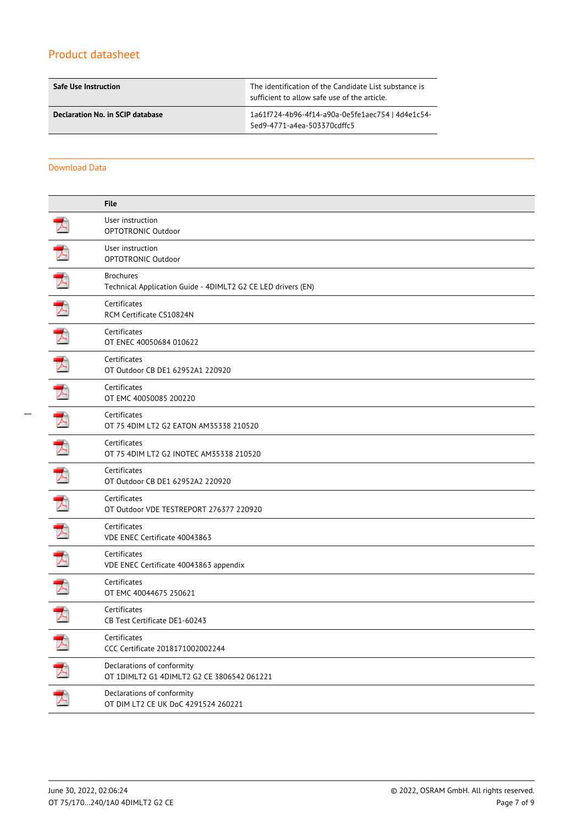| <b>Safe Use Instruction</b>      | The identification of the Candidate List substance is<br>sufficient to allow safe use of the article. |  |  |
|----------------------------------|-------------------------------------------------------------------------------------------------------|--|--|
| Declaration No. in SCIP database | 1a61f724-4b96-4f14-a90a-0e5fe1aec754   4d4e1c54-<br>5ed9-4771-a4ea-503370cdffc5                       |  |  |

Download Data

|   | <b>File</b>                                                                      |
|---|----------------------------------------------------------------------------------|
|   | User instruction<br>OPTOTRONIC Outdoor                                           |
|   | User instruction<br>OPTOTRONIC Outdoor                                           |
|   | <b>Brochures</b><br>Technical Application Guide - 4DIMLT2 G2 CE LED drivers (EN) |
|   | Certificates<br>RCM Certificate CS10824N                                         |
| プ | Certificates<br>OT ENEC 40050684 010622                                          |
| 天 | Certificates<br>OT Outdoor CB DE1 62952A1 220920                                 |
|   | Certificates<br>OT EMC 40050085 200220                                           |
| Z | Certificates<br>OT 75 4DIM LT2 G2 EATON AM35338 210520                           |
|   | Certificates<br>OT 75 4DIM LT2 G2 INOTEC AM35338 210520                          |
|   | Certificates<br>OT Outdoor CB DE1 62952A2 220920                                 |
|   | Certificates<br>OT Outdoor VDE TESTREPORT 276377 220920                          |
|   | Certificates<br>VDE ENEC Certificate 40043863                                    |
|   | Certificates<br>VDE ENEC Certificate 40043863 appendix                           |
|   | Certificates<br>OT EMC 40044675 250621                                           |
|   | Certificates<br>CB Test Certificate DE1-60243                                    |
|   | Certificates<br>CCC Certificate 2018171002002244                                 |
|   | Declarations of conformity<br>OT 1DIMLT2 G1 4DIMLT2 G2 CE 3806542 061221         |
|   | Declarations of conformity<br>OT DIM LT2 CE UK DoC 4291524 260221                |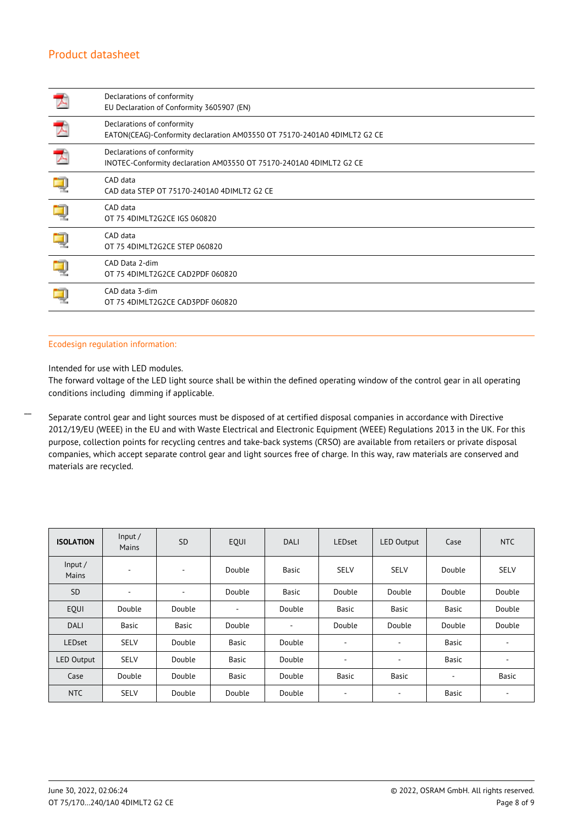| Declarations of conformity<br>EU Declaration of Conformity 3605907 (EN)                                |
|--------------------------------------------------------------------------------------------------------|
| Declarations of conformity<br>EATON(CEAG)-Conformity declaration AM03550 OT 75170-2401A0 4DIMLT2 G2 CE |
| Declarations of conformity<br>INOTEC-Conformity declaration AM03550 OT 75170-2401A0 4DIMLT2 G2 CE      |
| CAD data<br>CAD data STEP OT 75170-2401A0 4DIMLT2 G2 CE                                                |
| CAD data<br>OT 75 4DIMLT2G2CE IGS 060820                                                               |
| CAD data<br>OT 75 4DIMLT2G2CE STEP 060820                                                              |
| CAD Data 2-dim<br>OT 75 4DIMLT2G2CE CAD2PDF 060820                                                     |
| CAD data 3-dim<br>OT 75 4DIMLT2G2CE CAD3PDF 060820                                                     |

### Ecodesign regulation information:

### Intended for use with LED modules.

 $\overline{a}$ 

The forward voltage of the LED light source shall be within the defined operating window of the control gear in all operating conditions including dimming if applicable.

Separate control gear and light sources must be disposed of at certified disposal companies in accordance with Directive 2012/19/EU (WEEE) in the EU and with Waste Electrical and Electronic Equipment (WEEE) Regulations 2013 in the UK. For this purpose, collection points for recycling centres and take-back systems (CRSO) are available from retailers or private disposal companies, which accept separate control gear and light sources free of charge. In this way, raw materials are conserved and materials are recycled.

| <b>ISOLATION</b>  | Input/<br>Mains | <b>SD</b>                | EQUI         | <b>DALI</b> | <b>LEDset</b>            | <b>LED Output</b> | Case         | <b>NTC</b>  |
|-------------------|-----------------|--------------------------|--------------|-------------|--------------------------|-------------------|--------------|-------------|
| Input/<br>Mains   | $\blacksquare$  | $\overline{\phantom{a}}$ | Double       | Basic       | <b>SELV</b>              | <b>SELV</b>       | Double       | <b>SELV</b> |
| <b>SD</b>         | $\blacksquare$  | $\overline{\phantom{a}}$ | Double       | Basic       | Double                   | Double            | Double       | Double      |
| EOUI              | Double          | Double                   | ٠            | Double      | Basic                    | <b>Basic</b>      | Basic        | Double      |
| <b>DALI</b>       | <b>Basic</b>    | Basic                    | Double       | ٠           | Double                   | Double            | Double       | Double      |
| <b>LEDset</b>     | <b>SELV</b>     | Double                   | Basic        | Double      | ٠                        | ۰                 | Basic        | ۰           |
| <b>LED Output</b> | <b>SELV</b>     | Double                   | <b>Basic</b> | Double      | $\overline{\phantom{a}}$ | ۰                 | <b>Basic</b> | $\sim$      |
| Case              | Double          | Double                   | Basic        | Double      | Basic                    | <b>Basic</b>      | ۰            | Basic       |
| <b>NTC</b>        | <b>SELV</b>     | Double                   | Double       | Double      | ٠                        | ۰                 | Basic        | ٠           |